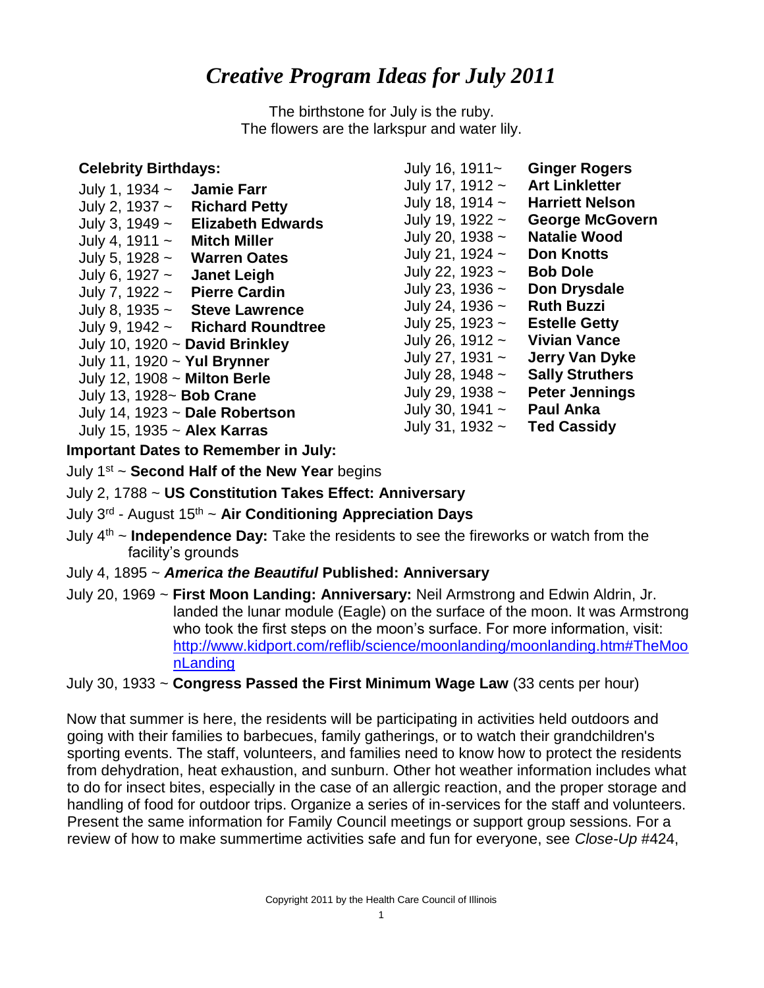## *Creative Program Ideas for July 2011*

The birthstone for July is the ruby. The flowers are the larkspur and water lily.

| <b>Celebrity Birthdays:</b><br><b>Jamie Farr</b><br>July 1, 1934 $\sim$<br>July 2, 1937 $\sim$<br><b>Richard Petty</b><br>July 3, 1949 $\sim$<br><b>Elizabeth Edwards</b><br>July 4, 1911 $\sim$<br><b>Mitch Miller</b><br>July 5, 1928 $\sim$<br><b>Warren Oates</b><br>July 6, 1927 $\sim$<br><b>Janet Leigh</b><br><b>Pierre Cardin</b><br>July 7, 1922 $\sim$<br>July 8, 1935 $\sim$ Steve Lawrence<br>July 9, 1942 $\sim$ Richard Roundtree<br>July 10, 1920 ~ David Brinkley<br>July 11, 1920 ~ Yul Brynner<br>July 12, 1908 ~ Milton Berle<br>July 13, 1928~ <b>Bob Crane</b> | July 16, 1911~<br>July 17, 1912 $\sim$<br>July 18, 1914 $\sim$<br>July 19, 1922 $\sim$<br>July 20, 1938 $\sim$<br>July 21, 1924 $\sim$<br>July 22, 1923 $\sim$<br>July 23, 1936 $\sim$<br>July 24, 1936 $\sim$<br>July 25, 1923 $\sim$<br>July 26, 1912 $\sim$<br>July 27, 1931 $\sim$<br>July 28, 1948 $\sim$<br>July 29, 1938 $\sim$ | <b>Ginger Rogers</b><br><b>Art Linkletter</b><br><b>Harriett Nelson</b><br><b>George McGovern</b><br><b>Natalie Wood</b><br><b>Don Knotts</b><br><b>Bob Dole</b><br>Don Drysdale<br><b>Ruth Buzzi</b><br><b>Estelle Getty</b><br><b>Vivian Vance</b><br><b>Jerry Van Dyke</b><br><b>Sally Struthers</b><br><b>Peter Jennings</b> |
|--------------------------------------------------------------------------------------------------------------------------------------------------------------------------------------------------------------------------------------------------------------------------------------------------------------------------------------------------------------------------------------------------------------------------------------------------------------------------------------------------------------------------------------------------------------------------------------|----------------------------------------------------------------------------------------------------------------------------------------------------------------------------------------------------------------------------------------------------------------------------------------------------------------------------------------|----------------------------------------------------------------------------------------------------------------------------------------------------------------------------------------------------------------------------------------------------------------------------------------------------------------------------------|
| July 14, 1923 ~ Dale Robertson<br>July 15, 1935 ~ Alex Karras<br>a cartear Barta a famou a call an familial                                                                                                                                                                                                                                                                                                                                                                                                                                                                          | July 30, 1941 $\sim$<br>July 31, 1932 $\sim$                                                                                                                                                                                                                                                                                           | <b>Paul Anka</b><br><b>Ted Cassidy</b>                                                                                                                                                                                                                                                                                           |

**Important Dates to Remember in July:** 

July 1st ~ **Second Half of the New Year** begins

- July 2, 1788 ~ **US Constitution Takes Effect: Anniversary**
- July 3rd August 15th ~ **Air Conditioning Appreciation Days**
- July 4th ~ **Independence Day:** Take the residents to see the fireworks or watch from the facility's grounds
- July 4, 1895 ~ *America the Beautiful* **Published: Anniversary**
- July 20, 1969 ~ **First Moon Landing: Anniversary:** Neil Armstrong and Edwin Aldrin, Jr. landed the lunar module (Eagle) on the surface of the moon. It was Armstrong who took the first steps on the moon's surface. For more information, visit: [http://www.kidport.com/reflib/science/moonlanding/moonlanding.htm#TheMoo](http://www.kidport.com/reflib/science/moonlanding/moonlanding.htm#TheMoonLanding)  [nLanding](http://www.kidport.com/reflib/science/moonlanding/moonlanding.htm#TheMoonLanding)

July 30, 1933 ~ **Congress Passed the First Minimum Wage Law** (33 cents per hour)

Now that summer is here, the residents will be participating in activities held outdoors and going with their families to barbecues, family gatherings, or to watch their grandchildren's sporting events. The staff, volunteers, and families need to know how to protect the residents from dehydration, heat exhaustion, and sunburn. Other hot weather information includes what to do for insect bites, especially in the case of an allergic reaction, and the proper storage and handling of food for outdoor trips. Organize a series of in-services for the staff and volunteers. Present the same information for Family Council meetings or support group sessions. For a review of how to make summertime activities safe and fun for everyone, see *Close-Up* #424,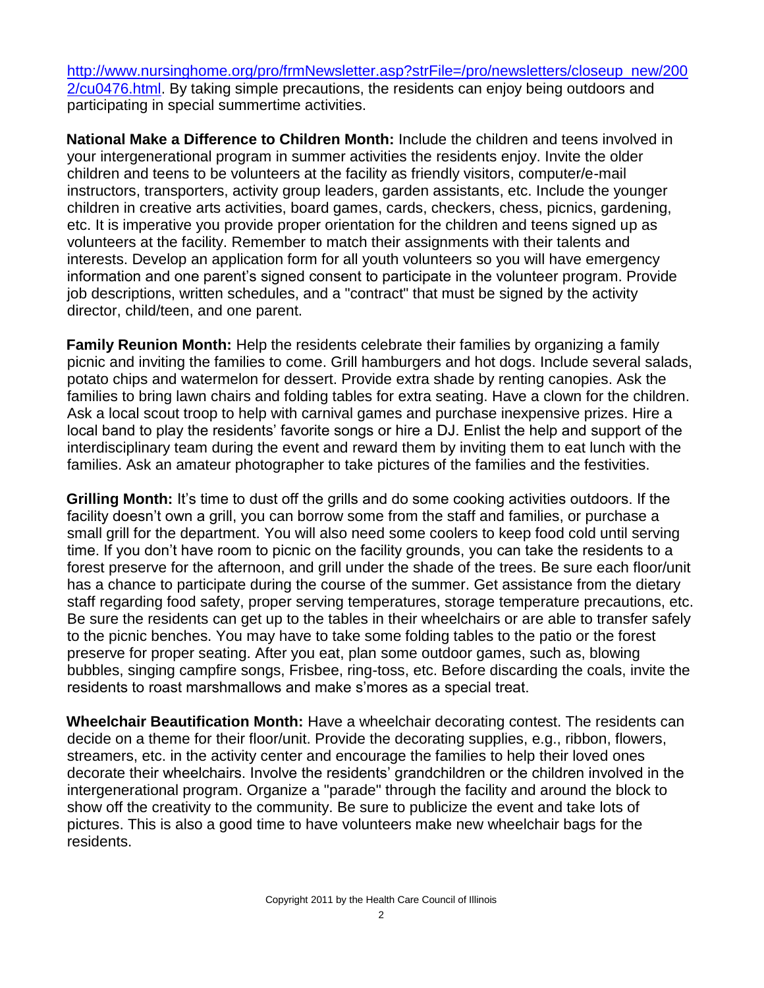[http://www.nursinghome.org/pro/frmNewsletter.asp?strFile=/pro/newsletters/closeup\\_new/200](http://www.nursinghome.org/pro/frmNewsletter.asp?strFile=/pro/newsletters/closeup_new/2002/cu0476.html)  [2/cu0476.html.](http://www.nursinghome.org/pro/frmNewsletter.asp?strFile=/pro/newsletters/closeup_new/2002/cu0476.html) By taking simple precautions, the residents can enjoy being outdoors and participating in special summertime activities.

**National Make a Difference to Children Month:** Include the children and teens involved in your intergenerational program in summer activities the residents enjoy. Invite the older children and teens to be volunteers at the facility as friendly visitors, computer/e-mail instructors, transporters, activity group leaders, garden assistants, etc. Include the younger children in creative arts activities, board games, cards, checkers, chess, picnics, gardening, etc. It is imperative you provide proper orientation for the children and teens signed up as volunteers at the facility. Remember to match their assignments with their talents and interests. Develop an application form for all youth volunteers so you will have emergency information and one parent's signed consent to participate in the volunteer program. Provide job descriptions, written schedules, and a "contract" that must be signed by the activity director, child/teen, and one parent.

**Family Reunion Month:** Help the residents celebrate their families by organizing a family picnic and inviting the families to come. Grill hamburgers and hot dogs. Include several salads, potato chips and watermelon for dessert. Provide extra shade by renting canopies. Ask the families to bring lawn chairs and folding tables for extra seating. Have a clown for the children. Ask a local scout troop to help with carnival games and purchase inexpensive prizes. Hire a local band to play the residents' favorite songs or hire a DJ. Enlist the help and support of the interdisciplinary team during the event and reward them by inviting them to eat lunch with the families. Ask an amateur photographer to take pictures of the families and the festivities.

**Grilling Month:** It's time to dust off the grills and do some cooking activities outdoors. If the facility doesn't own a grill, you can borrow some from the staff and families, or purchase a small grill for the department. You will also need some coolers to keep food cold until serving time. If you don't have room to picnic on the facility grounds, you can take the residents to a forest preserve for the afternoon, and grill under the shade of the trees. Be sure each floor/unit has a chance to participate during the course of the summer. Get assistance from the dietary staff regarding food safety, proper serving temperatures, storage temperature precautions, etc. Be sure the residents can get up to the tables in their wheelchairs or are able to transfer safely to the picnic benches. You may have to take some folding tables to the patio or the forest preserve for proper seating. After you eat, plan some outdoor games, such as, blowing bubbles, singing campfire songs, Frisbee, ring-toss, etc. Before discarding the coals, invite the residents to roast marshmallows and make s'mores as a special treat.

**Wheelchair Beautification Month:** Have a wheelchair decorating contest. The residents can decide on a theme for their floor/unit. Provide the decorating supplies, e.g., ribbon, flowers, streamers, etc. in the activity center and encourage the families to help their loved ones decorate their wheelchairs. Involve the residents' grandchildren or the children involved in the intergenerational program. Organize a "parade" through the facility and around the block to show off the creativity to the community. Be sure to publicize the event and take lots of pictures. This is also a good time to have volunteers make new wheelchair bags for the residents.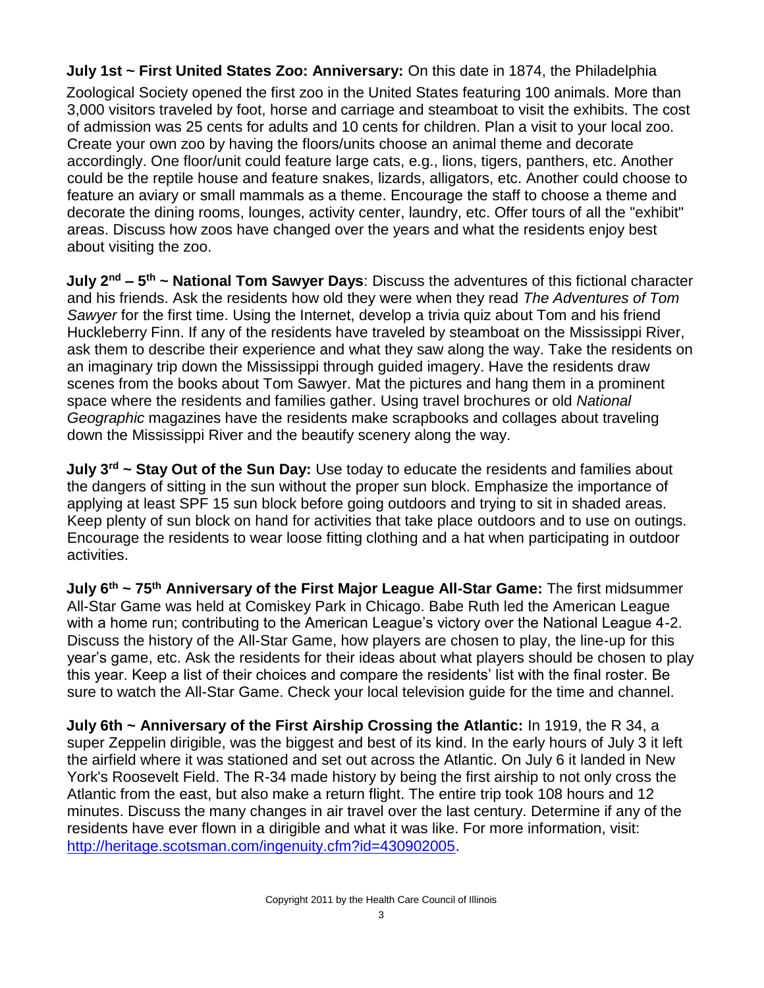**July 1st ~ First United States Zoo: Anniversary:** On this date in 1874, the Philadelphia

Zoological Society opened the first zoo in the United States featuring 100 animals. More than 3,000 visitors traveled by foot, horse and carriage and steamboat to visit the exhibits. The cost of admission was 25 cents for adults and 10 cents for children. Plan a visit to your local zoo. Create your own zoo by having the floors/units choose an animal theme and decorate accordingly. One floor/unit could feature large cats, e.g., lions, tigers, panthers, etc. Another could be the reptile house and feature snakes, lizards, alligators, etc. Another could choose to feature an aviary or small mammals as a theme. Encourage the staff to choose a theme and decorate the dining rooms, lounges, activity center, laundry, etc. Offer tours of all the "exhibit" areas. Discuss how zoos have changed over the years and what the residents enjoy best about visiting the zoo.

**July 2nd – 5 th ~ National Tom Sawyer Days**: Discuss the adventures of this fictional character and his friends. Ask the residents how old they were when they read *The Adventures of Tom Sawyer* for the first time. Using the Internet, develop a trivia quiz about Tom and his friend Huckleberry Finn. If any of the residents have traveled by steamboat on the Mississippi River, ask them to describe their experience and what they saw along the way. Take the residents on an imaginary trip down the Mississippi through guided imagery. Have the residents draw scenes from the books about Tom Sawyer. Mat the pictures and hang them in a prominent space where the residents and families gather. Using travel brochures or old *National Geographic* magazines have the residents make scrapbooks and collages about traveling down the Mississippi River and the beautify scenery along the way.

**July 3rd ~ Stay Out of the Sun Day:** Use today to educate the residents and families about the dangers of sitting in the sun without the proper sun block. Emphasize the importance of applying at least SPF 15 sun block before going outdoors and trying to sit in shaded areas. Keep plenty of sun block on hand for activities that take place outdoors and to use on outings. Encourage the residents to wear loose fitting clothing and a hat when participating in outdoor activities.

**July 6th ~ 75th Anniversary of the First Major League All-Star Game:** The first midsummer All-Star Game was held at Comiskey Park in Chicago. Babe Ruth led the American League with a home run; contributing to the American League's victory over the National League 4-2. Discuss the history of the All-Star Game, how players are chosen to play, the line-up for this year's game, etc. Ask the residents for their ideas about what players should be chosen to play this year. Keep a list of their choices and compare the residents' list with the final roster. Be sure to watch the All-Star Game. Check your local television guide for the time and channel.

**July 6th ~ Anniversary of the First Airship Crossing the Atlantic:** In 1919, the R 34, a super Zeppelin dirigible, was the biggest and best of its kind. In the early hours of July 3 it left the airfield where it was stationed and set out across the Atlantic. On July 6 it landed in New York's Roosevelt Field. The R-34 made history by being the first airship to not only cross the Atlantic from the east, but also make a return flight. The entire trip took 108 hours and 12 minutes. Discuss the many changes in air travel over the last century. Determine if any of the residents have ever flown in a dirigible and what it was like. For more information, visit: [http://heritage.scotsman.com/ingenuity.cfm?id=430902005.](http://heritage.scotsman.com/ingenuity.cfm?id=430902005)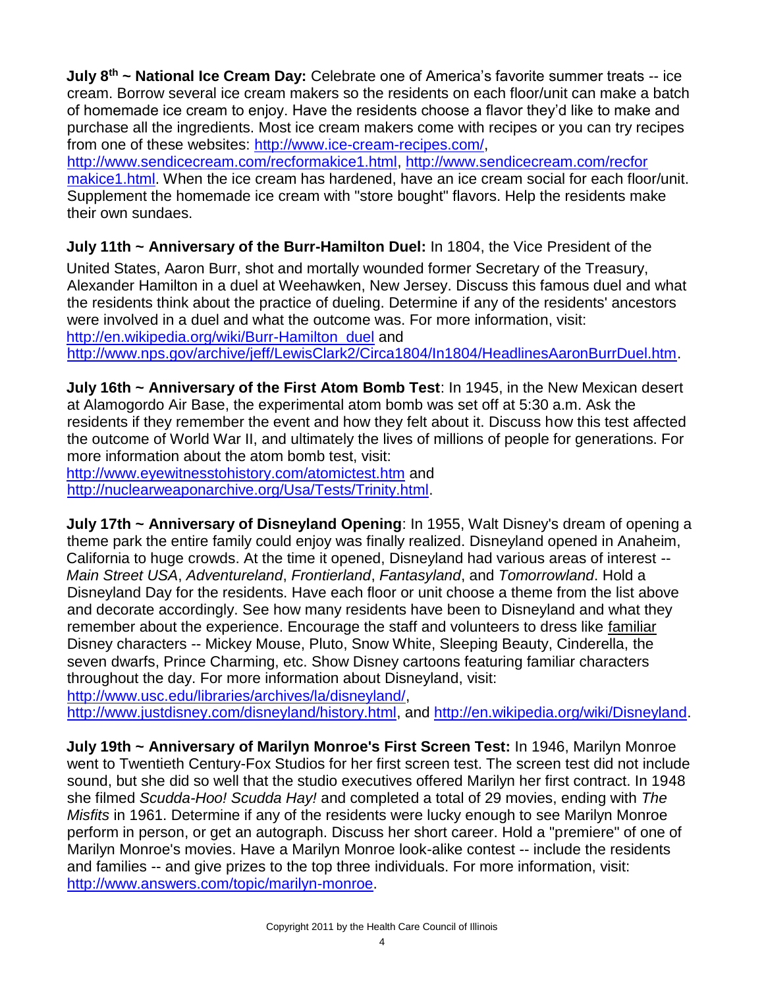**July 8th ~ National Ice Cream Day:** Celebrate one of America's favorite summer treats -- ice cream. Borrow several ice cream makers so the residents on each floor/unit can make a batch of homemade ice cream to enjoy. Have the residents choose a flavor they'd like to make and purchase all the ingredients. Most ice cream makers come with recipes or you can try recipes from one of these websites: [http://www.ice-cream-recipes.com/,](http://www.ice-cream-recipes.com/)

[http://www.sendicecream.com/recformakice1.html,](http://www.sendicecream.com/recformakice1.html) [http://www.sendicecream.com/recfor](http://www.sendicecream.com/recfor%20makice1.html) [makice1.html.](http://www.sendicecream.com/recfor%20makice1.html) When the ice cream has hardened, have an ice cream social for each floor/unit. Supplement the homemade ice cream with "store bought" flavors. Help the residents make their own sundaes.

## **July 11th ~ Anniversary of the Burr-Hamilton Duel:** In 1804, the Vice President of the

United States, Aaron Burr, shot and mortally wounded former Secretary of the Treasury, Alexander Hamilton in a duel at Weehawken, New Jersey. Discuss this famous duel and what the residents think about the practice of dueling. Determine if any of the residents' ancestors were involved in a duel and what the outcome was. For more information, visit: [http://en.wikipedia.org/wiki/Burr-Hamilton\\_duel](http://en.wikipedia.org/wiki/Burr-Hamilton_duel) [a](http://en.wikipedia.org/wiki/Burr-Hamilton_duel)nd [http://www.nps.gov/archive/jeff/LewisClark2/Circa1804/In1804/HeadlinesAaronBurrDuel.htm.](http://www.nps.gov/archive/jeff/LewisClark2/Circa1804/In1804/HeadlinesAaronBurrDuel.htm)

**July 16th ~ Anniversary of the First Atom Bomb Test**: In 1945, in the New Mexican desert at Alamogordo Air Base, the experimental atom bomb was set off at 5:30 a.m. Ask the residents if they remember the event and how they felt about it. Discuss how this test affected the outcome of World War II, and ultimately the lives of millions of people for generations. For more information about the atom bomb test, visit:

<http://www.eyewitnesstohistory.com/atomictest.htm> and [http://nuclearweaponarchive.org/Usa/Tests/Trinity.html.](http://nuclearweaponarchive.org/Usa/Tests/Trinity.html)

**July 17th ~ Anniversary of Disneyland Opening**: In 1955, Walt Disney's dream of opening a theme park the entire family could enjoy was finally realized. Disneyland opened in Anaheim, California to huge crowds. At the time it opened, Disneyland had various areas of interest -- *Main Street USA*, *Adventureland*, *Frontierland*, *Fantasyland*, and *Tomorrowland*. Hold a Disneyland Day for the residents. Have each floor or unit choose a theme from the list above and decorate accordingly. See how many residents have been to Disneyland and what they remember about the experience. Encourage the staff and volunteers to dress like familiar Disney characters -- Mickey Mouse, Pluto, Snow White, Sleeping Beauty, Cinderella, the seven dwarfs, Prince Charming, etc. Show Disney cartoons featuring familiar characters throughout the day. For more information about Disneyland, visit: [http://www.usc.edu/libraries/archives/la/disneyland/,](http://www.usc.edu/libraries/archives/la/disneyland/)

[http://www.justdisney.com/disneyland/history.html,](http://www.justdisney.com/disneyland/history.html) and [http://en.wikipedia.org/wiki/Disneyland.](http://en.wikipedia.org/wiki/Disneyland)

**July 19th ~ Anniversary of Marilyn Monroe's First Screen Test:** In 1946, Marilyn Monroe went to Twentieth Century-Fox Studios for her first screen test. The screen test did not include sound, but she did so well that the studio executives offered Marilyn her first contract. In 1948 she filmed *Scudda-Hoo! Scudda Hay!* and completed a total of 29 movies, ending with *The Misfits* in 1961. Determine if any of the residents were lucky enough to see Marilyn Monroe perform in person, or get an autograph. Discuss her short career. Hold a "premiere" of one of Marilyn Monroe's movies. Have a Marilyn Monroe look-alike contest -- include the residents and families -- and give prizes to the top three individuals. For more information, visit: [http://www.answers.com/topic/marilyn-monroe.](http://www.answers.com/topic/marilyn-monroe)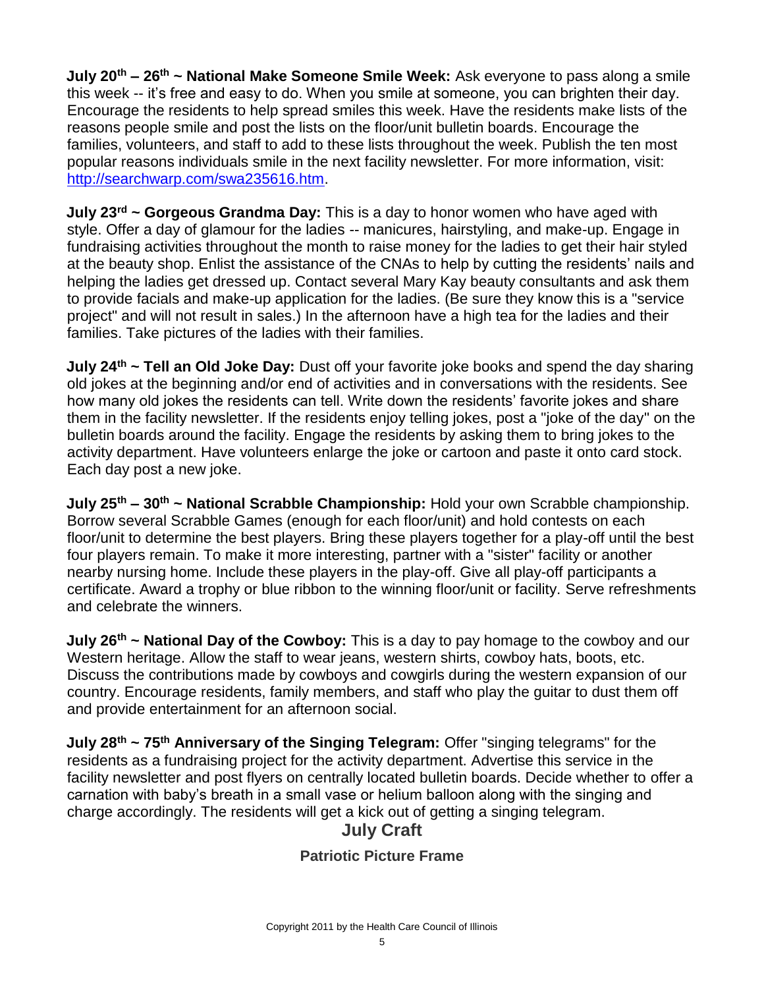**July 20th – 26 th ~ National Make Someone Smile Week:** Ask everyone to pass along a smile this week -- it's free and easy to do. When you smile at someone, you can brighten their day. Encourage the residents to help spread smiles this week. Have the residents make lists of the reasons people smile and post the lists on the floor/unit bulletin boards. Encourage the families, volunteers, and staff to add to these lists throughout the week. Publish the ten most popular reasons individuals smile in the next facility newsletter. For more information, visit: [http://searchwarp.com/swa235616.htm.](http://searchwarp.com/swa235616.htm)

**July 23rd ~ Gorgeous Grandma Day:** This is a day to honor women who have aged with style. Offer a day of glamour for the ladies -- manicures, hairstyling, and make-up. Engage in fundraising activities throughout the month to raise money for the ladies to get their hair styled at the beauty shop. Enlist the assistance of the CNAs to help by cutting the residents' nails and helping the ladies get dressed up. Contact several Mary Kay beauty consultants and ask them to provide facials and make-up application for the ladies. (Be sure they know this is a "service project" and will not result in sales.) In the afternoon have a high tea for the ladies and their families. Take pictures of the ladies with their families.

**July 24th ~ Tell an Old Joke Day:** Dust off your favorite joke books and spend the day sharing old jokes at the beginning and/or end of activities and in conversations with the residents. See how many old jokes the residents can tell. Write down the residents' favorite jokes and share them in the facility newsletter. If the residents enjoy telling jokes, post a "joke of the day" on the bulletin boards around the facility. Engage the residents by asking them to bring jokes to the activity department. Have volunteers enlarge the joke or cartoon and paste it onto card stock. Each day post a new joke.

**July 25th – 30th ~ National Scrabble Championship:** Hold your own Scrabble championship. Borrow several Scrabble Games (enough for each floor/unit) and hold contests on each floor/unit to determine the best players. Bring these players together for a play-off until the best four players remain. To make it more interesting, partner with a "sister" facility or another nearby nursing home. Include these players in the play-off. Give all play-off participants a certificate. Award a trophy or blue ribbon to the winning floor/unit or facility. Serve refreshments and celebrate the winners.

**July 26th ~ National Day of the Cowboy:** This is a day to pay homage to the cowboy and our Western heritage. Allow the staff to wear jeans, western shirts, cowboy hats, boots, etc. Discuss the contributions made by cowboys and cowgirls during the western expansion of our country. Encourage residents, family members, and staff who play the guitar to dust them off and provide entertainment for an afternoon social.

**July 28th ~ 75th Anniversary of the Singing Telegram:** Offer "singing telegrams" for the residents as a fundraising project for the activity department. Advertise this service in the facility newsletter and post flyers on centrally located bulletin boards. Decide whether to offer a carnation with baby's breath in a small vase or helium balloon along with the singing and charge accordingly. The residents will get a kick out of getting a singing telegram.

## **July Craft**

## **Patriotic Picture Frame**